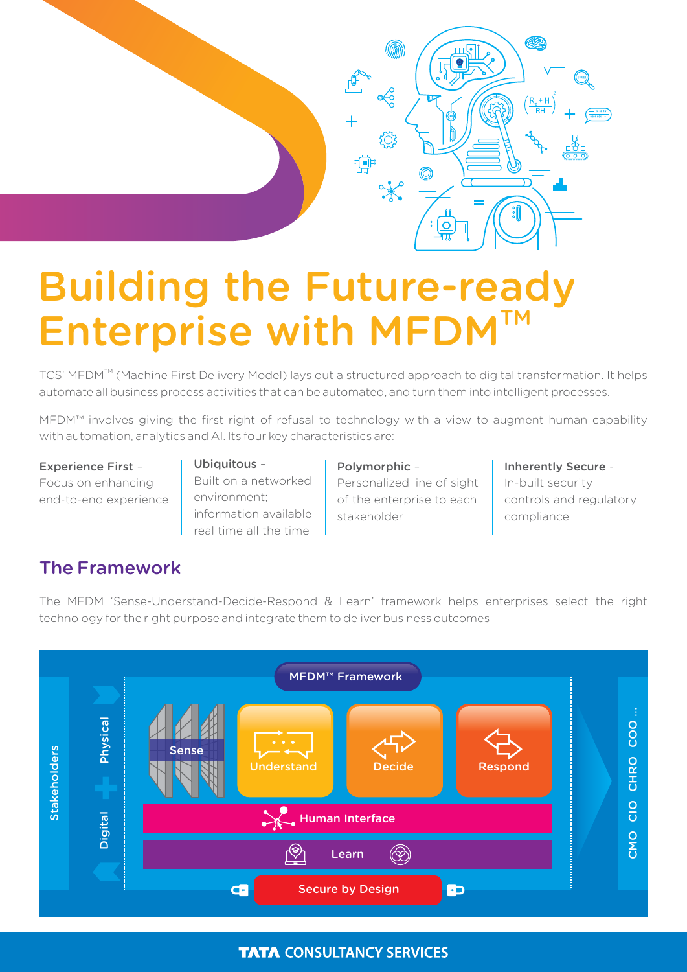

# Building the Future-ready Enterprise with MFDM

TCS' MFDM<sup>TM</sup> (Machine First Delivery Model) lays out a structured approach to digital transformation. It helps automate all business process activities that can be automated, and turn them into intelligent processes.

MFDM™ involves giving the first right of refusal to technology with a view to augment human capability with automation, analytics and AI. Its four key characteristics are:

Experience First – Focus on enhancing end-to-end experience

## Ubiquitous -

Built on a networked environment; information available real time all the time

#### Polymorphic –

Personalized line of sight of the enterprise to each stakeholder

Inherently Secure - In-built security controls and regulatory compliance

# The Framework

The MFDM 'Sense-Understand-Decide-Respond & Learn' framework helps enterprises select the right technology for the right purpose and integrate them to deliver business outcomes



## **TATA CONSULTANCY SERVICES**